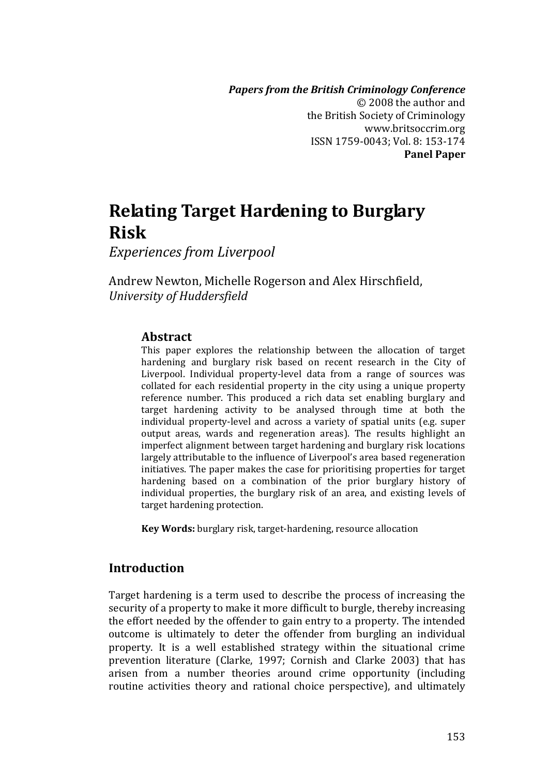*Papers from the British Criminology Conference* © 2008 the author and t he British Society of Criminology www.britsoccrim.org ISSN 1759‐0043; Vol. 8: 153‐174 **Panel Paper**

# **Relating Target Hardening to Burglary Risk**

*Experiences from Liverpool*

Andrew Newton, Michelle Rogerson and Alex Hirschfield, *University of Huddersfield*

## **Abstract**

This paper explores the relationship between the allocation of target hardening and burglary risk based on recent research in the City of Liverpool. Individual property-level data from a range of sources was collated for each residential property in the city using a unique property reference number. This produced a rich data set enabling burglary and target hardening activity to be analysed through time at both the individual property-level and across a variety of spatial units (e.g. super output areas, wards and regeneration areas). The results highlight an imperfect alignment between target hardening and burglary risk locations largely attributable to the influence of Liverpool's area based regeneration initiatives. The paper makes the case for prioritising properties for target hardening based on a combination of the prior burglary history of individual properties, the burglary risk of an area, and existing levels of target hardening protection.

**Key Words:** burglary risk, target‐hardening, resource allocation

## **Introduction**

Target hardening is a term used to describe the process of increasing the security of a property to make it more difficult to burgle, thereby increasing the effort needed by the offender to gain entry to a property. The intended outcome is ultimately to deter the offender from burgling an individual property. It is a well established strategy within the situational crime prevention literature (Clarke, 1997; Cornish and Clarke 2003) that has arisen from a number theories around crime opportunity (including routine activities theory and rational choice perspective), and ultimately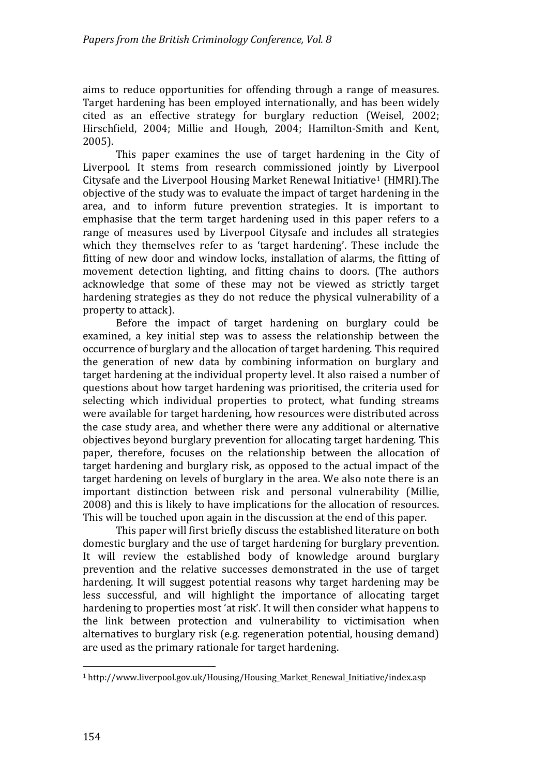aims to reduce opportunities for offending through a range of measures. Target hardening has been employed internationally, and has been widely cited as an effective strategy for burglary reduction (Weisel, 2002; Hirschfield, 2004; Millie and Hough, 2004; Hamilton‐Smith and Kent, 2005).

This paper examines the use of target hardening in the City of Liverpool. It stems from research commissioned jointly by Liverpool Citysafe and the Liverpool Housing Market Renewal Initiative1 (HMRI).The objective of the study was to evaluate the impact of target hardening in the area, and to inform future prevention strategies. It is important to emphasise that the term target hardening used in this paper refers to a range of measures used by Liverpool Citysafe and includes all strategies which they themselves refer to as 'target hardening'. These include the fitting of new door and window locks, installation of alarms, the fitting of movement detection lighting, and fitting chains to doors. (The authors acknowledge that some of these may not be viewed as strictly target hardening strategies as they do not reduce the physical vulnerability of a property to attack).

Before the impact of target hardening on burglary could be examined, a key initial step was to assess the relationship between the occurrence of burglary and the allocation of target hardening. This required the generation of new data by combining information on burglary and target hardening at the individual property level. It also raised a number of questions about how target hardening was prioritised, the criteria used for selecting which individual properties to protect, what funding streams were available for target hardening, how resources were distributed across the case study area, and whether there were any additional or alternative objectives beyond burglary prevention for allocating target hardening. This paper, therefore, focuses on the relationship between the allocation of target hardening and burglary risk, as opposed to the actual impact of the target hardening on levels of burglary in the area. We also note there is an important distinction between risk and personal vulnerability (Millie, 2008) and this is likely to have implications for the allocation of resources. This will be touched upon again in the discussion at the end of this paper.

This paper will first briefly discuss the established literature on both domestic burglary and the use of target hardening for burglary prevention. It will review the established body of knowledge around burglary prevention and the relative successes demonstrated in the use of target hardening. It will suggest potential reasons why target hardening may be less successful, and will highlight the importance of allocating target hardening to properties most 'at risk'. It will then consider what happens to the link between protection and vulnerability to victimisation when alternatives to burglary risk (e.g. regeneration potential, housing demand) are used as the primary rationale for target hardening.

 $\overline{a}$ 

<sup>1</sup> http://www.liverpool.gov.uk/Housing/Housing\_Market\_Renewal\_Initiative/index.asp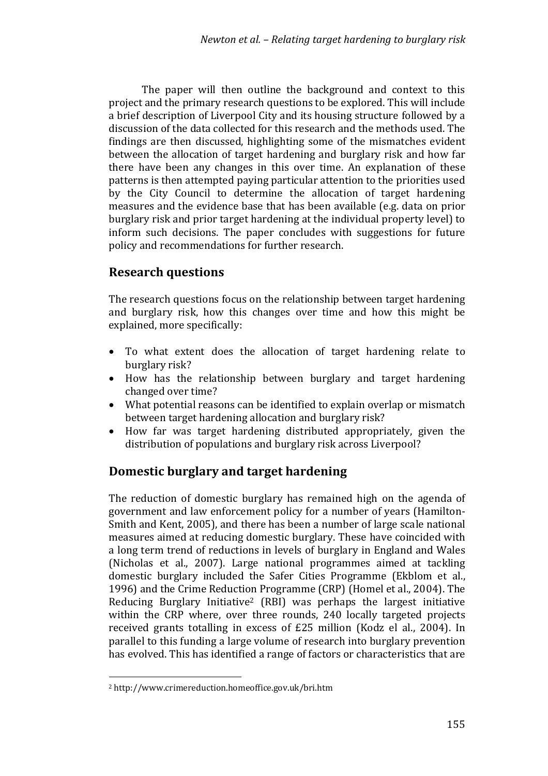The paper will then outline the background and context to this project and the primary research questions to be explored. This will include a brief description of Liverpool City and its housing structure followed by a discussion of the data collected for this research and the methods used. The findings are then discussed, highlighting some of the mismatches evident between the allocation of target hardening and burglary risk and how far there have been any changes in this over time. An explanation of these patterns is then attempted paying particular attention to the priorities used by the City Council to determine the allocation of target hardening measures and the evidence base that has been available (e.g. data on prior burglary risk and prior target hardening at the individual property level) to nform such decisions. The paper concludes with suggestions for future i policy and recommendations for further research.

# **Research questions**

The research questions focus on the relationship between target hardening and burglary risk, how this changes over time and how this might be explained, more specifically:

- To what extent does the allocation of target hardening relate to burglary risk?
- How has the relationship between burglary and target hardening changed over time?
- What potential reasons can be identified to explain overlap or mismatch between target hardening allocation and burglary risk?
- How far was target hardening distributed appropriately, given the distribution of populations and burglary risk across Liverpool?

# **Domestic burglary and target hardening**

The reduction of domestic burglary has remained high on the agenda of government and law enforcement policy for a number of years (Hamilton‐ Smith and Kent, 2005), and there has been a number of large scale national measures aimed at reducing domestic burglary. These have coincided with a long term trend of reductions in levels of burglary in England and Wales (Nicholas et al., 2007). Large national programmes aimed at tackling domestic burglary included the Safer Cities Programme (Ekblom et al., 1996) and the Crime Reduction Programme (CRP) (Homel et al., 2004). The Reducing Burglary Initiative<sup>2</sup> (RBI) was perhaps the largest initiative within the CRP where, over three rounds, 240 locally targeted projects received grants totalling in excess of £25 million (Kodz el al., 2004). In parallel to this funding a large volume of research into burglary prevention has evolved. This has identified a range of factors or characteristics that are

 $\overline{a}$ 

<sup>2</sup> http://www.crimereduction.homeoffice.gov.uk/bri.htm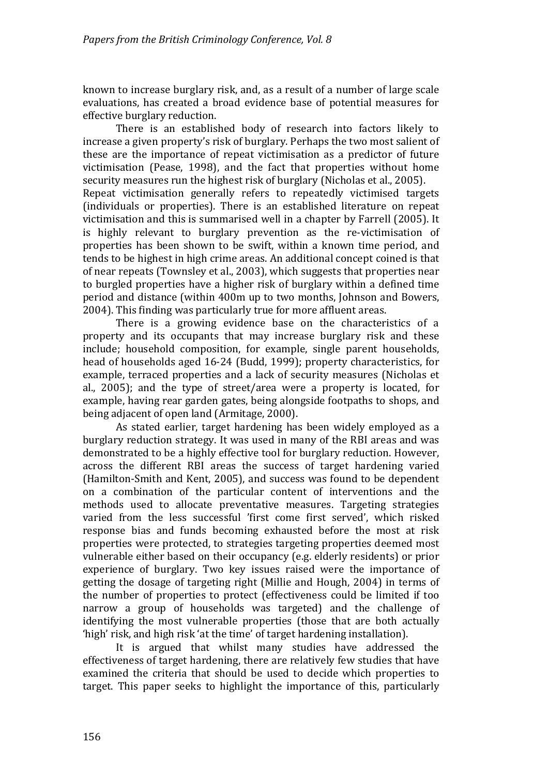known to increase burglary risk, and, as a result of a number of large scale evaluations, has created a broad evidence base of potential measures for effective burglary reduction.

There is an established body of research into factors likely to increase a given property's risk of burglary. Perhaps the two most salient of these are the importance of repeat victimisation as a predictor of future victimisation (Pease, 1998), and the fact that properties without home security measures run the highest risk of burglary (Nicholas et al., 2005). Repeat victimisation generally refers to repeatedly victimised targets (individuals or properties). There is an established literature on repeat victimisation and this is summarised well in a chapter by Farrell (2005). It is highly relevant to burglary prevention as the re-victimisation of properties has been shown to be swift, within a known time period, and tends to be highest in high crime areas. An additional concept coined is that of near repeats (Townsley et al., 2003), which suggests that properties near to burgled properties have a higher risk of burglary within a defined time period and distance (within 400m up to two months, Johnson and Bowers, 2004). This finding was particularly true for more affluent areas.

There is a growing evidence base on the characteristics of a property and its occupants that may increase burglary risk and these include; household composition, for example, single parent households, head of households aged 16‐24 (Budd, 1999); property characteristics, for example, terraced properties and a lack of security measures (Nicholas et al., 2005); and the type of street/area were a property is located, for example, having rear garden gates, being alongside footpaths to shops, and being adjacent of open land (Armitage, 2000).

As stated earlier, target hardening has been widely employed as a burglary reduction strategy. It was used in many of the RBI areas and was demonstrated to be a highly effective tool for burglary reduction. However, across the different RBI areas the success of target hardening varied (Hamilton‐Smith and Kent, 2005), and success was found to be dependent on a combination of the particular content of interventions and the methods used to allocate preventative measures. Targeting strategies varied from the less successful 'first come first served', which risked response bias and funds becoming exhausted before the most at risk properties were protected, to strategies targeting properties deemed most vulnerable either based on their occupancy (e.g. elderly residents) or prior experience of burglary. Two key issues raised were the importance of getting the dosage of targeting right (Millie and Hough, 2004) in terms of the number of properties to protect (effectiveness could be limited if too narrow a group of households was targeted) and the challenge of identifying the most vulnerable properties (those that are both actually 'high' risk, and high risk 'at the time' of target hardening installation).

It is argued that whilst many studies have addressed the effectiveness of target hardening, there are relatively few studies that have examined the criteria that should be used to decide which properties to target. This paper seeks to highlight the importance of this, particularly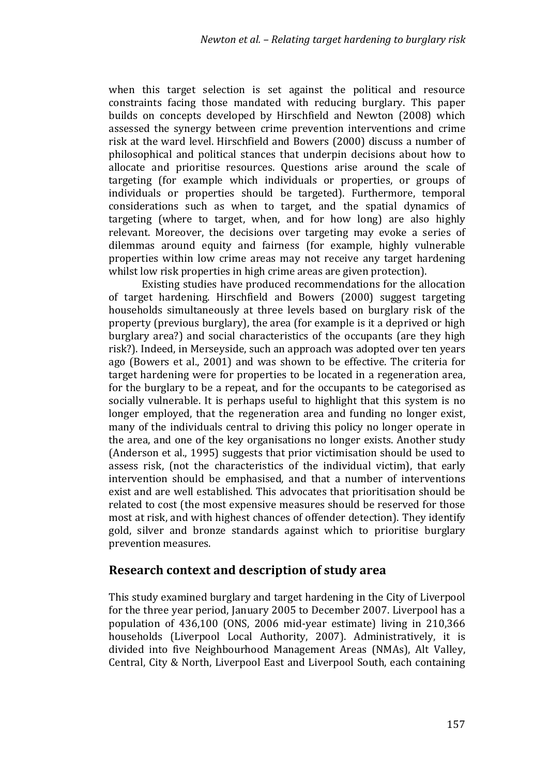when this target selection is set against the political and resource constraints facing those mandated with reducing burglary. This paper builds on concepts developed by Hirschfield and Newton (2008) which assessed the synergy between crime prevention interventions and crime risk at the ward level. Hirschfield and Bowers (2000) discuss a number of philosophical and political stances that underpin decisions about how to allocate and prioritise resources. Questions arise around the scale of targeting (for example which individuals or properties, or groups of individuals or properties should be targeted). Furthermore, temporal considerations such as when to target, and the spatial dynamics of targeting (where to target, when, and for how long) are also highly relevant. Moreover, the decisions over targeting may evoke a series of dilemmas around equity and fairness (for example, highly vulnerable properties within low crime areas may not receive any target hardening whilst low risk properties in high crime areas are given protection).

Existing studies have produced recommendations for the allocation of target hardening. Hirschfield and Bowers (2000) suggest targeting households simultaneously at three levels based on burglary risk of the property (previous burglary), the area (for example is it a deprived or high burglary area?) and social characteristics of the occupants (are they high risk?). Indeed, in Merseyside, such an approach was adopted over ten years ago (Bowers et al., 2001) and was shown to be effective. The criteria for target hardening were for properties to be located in a regeneration area, for the burglary to be a repeat, and for the occupants to be categorised as socially vulnerable. It is perhaps useful to highlight that this system is no longer employed, that the regeneration area and funding no longer exist, many of the individuals central to driving this policy no longer operate in the area, and one of the key organisations no longer exists. Another study (Anderson et al., 1995) suggests that prior victimisation should be used to assess risk, (not the characteristics of the individual victim), that early intervention should be emphasised, and that a number of interventions exist and are well established. This advocates that prioritisation should be related to cost (the most expensive measures should be reserved for those most at risk, and with highest chances of offender detection). They identify gold, silver and bronze standards against which to prioritise burglary prevention measures.

## **Research context and description of study area**

This study examined burglary and target hardening in the City of Liverpool for the three year period, January 2005 to December 2007. Liverpool has a population of 436,100 (ONS, 2006 mid‐year estimate) living in 210,366 households (Liverpool Local Authority, 2007). Administratively, it is divided into five Neighbourhood Management Areas (NMAs), Alt Valley, Central, City & North, Liverpool East and Liverpool South, each containing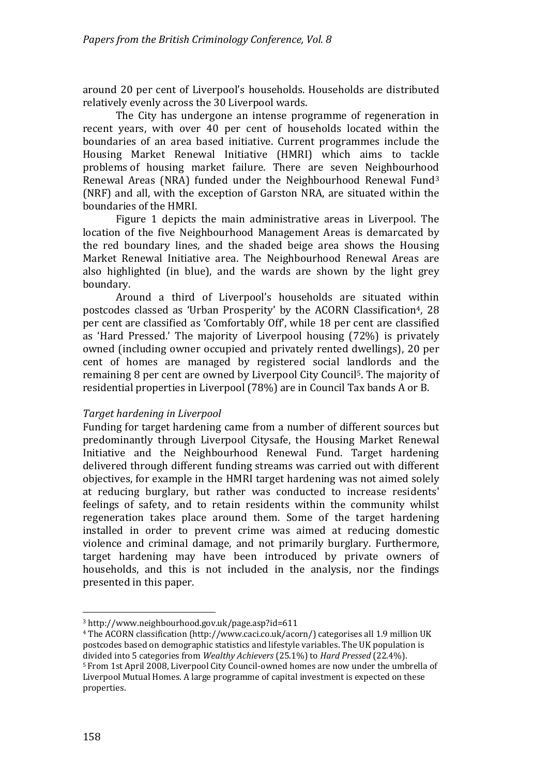around 20 per cent of Liverpool's households. Households are distributed relatively evenly across the 30 Liverpool wards.

The City has undergone an intense programme of regeneration in recent vears, with over 40 per cent of households located within the boundaries of an area based initiative. Current programmes include the Housing Market Renewal Initiative (HMRI) which aims to tackle problems of housing market failure. There are seven Neighbourhood Renewal Areas (NRA) funded under the Neighbourhood Renewal Fund3 (NRF) and all, with the exception of Garston NRA, are situated within the boundaries of the HMRI.

Figure 1 depicts the main administrative areas in Liverpool. The location of the five Neighbourhood Management Areas is demarcated by the red boundary lines, and the shaded beige area shows the Housing Market Renewal Initiative area. The Neighbourhood Renewal Areas are also highlighted (in blue), and the wards are shown by the light grey boundary.

Around a third of Liverpool's households are situated within postcodes classed as 'Urban Prosperity' by the ACORN Classification<sup>4</sup>, 28 per cent are classified as 'Comfortably Off', while 18 per cent are classified as 'Hard Pressed.' The majority of Liverpool housing (72%) is privately owned (including owner occupied and privately rented dwellings), 20 per cent of homes are managed by registered social landlords and the remaining 8 per cent are owned by Liverpool City Council 5. The majority of r esidential properties in Liverpool (78%) are in Council Tax bands A or B.

#### *Target hardening in Liverpool*

Funding for target hardening came from a number of different sources but predominantly through Liverpool Citysafe, the Housing Market Renewal Initiative and the Neighbourhood Renewal Fund. Target hardening delivered through different funding streams was carried out with different objectives, for example in the HMRI target hardening was not aimed solely at reducing burglary, but rather was conducted to increase residents' feelings of safety, and to retain residents within the community whilst regeneration takes place around them. Some of the target hardening installed in order to prevent crime was aimed at reducing domestic violence and criminal damage, and not primarily burglary. Furthermore, target hardening may have been introduced by private owners of households, and this is not included in the analysis, nor the findings presented in this paper.

158

properties.

<sup>3</sup> http://www.neighbourhood.gov.uk/page.asp?id=611

<sup>4</sup> The ACORN classification (http://www.caci.co.uk/acorn/) categorises all 1.9 million UK p ostcodes based on demographic statistics and lifestyle variables. The UK population is divided into 5 categories from *Wealthy Achievers* (25.1%) to *Hard Pressed* (22.4%). <sup>5</sup> From 1st April 2008, Liverpool City Council‐owned homes are now under the umbrella of Liverpool Mutual Homes. A large programme of capital investment is expected on these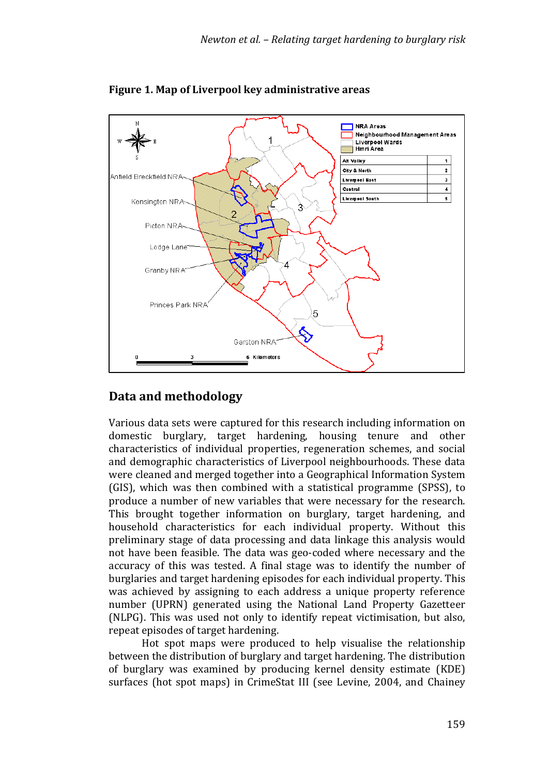

**Figure 1. Map of Liverpool key administrative areas**

# **Data and methodology**

Various data sets were captured for this research including information on domestic burglary, target hardening, housing tenure and other characteristics of individual properties, regeneration schemes, and social and demographic characteristics of Liverpool neighbourhoods. These data were cleaned and merged together into a Geographical Information System (GIS), which was then combined with a statistical programme (SPSS), to produce a number of new variables that were necessary for the research. This brought together information on burglary, target hardening, and household characteristics for each individual property. Without this preliminary stage of data processing and data linkage this analysis would not have been feasible. The data was geo‐coded where necessary and the accuracy of this was tested. A final stage was to identify the number of burglaries and target hardening episodes for each individual property. This was achieved by assigning to each address a unique property reference number (UPRN) generated using the National Land Property Gazetteer (NLPG) . This was used not only to identify repeat victimisation, but also, repeat episodes of target hardening.

Hot spot maps were produced to help visualise the relationship between the distribution of burglary and target hardening. The distribution of burglary was examined by producing kernel density estimate (KDE) surfaces (hot spot maps) in CrimeStat III (see Levine, 2004, and Chainey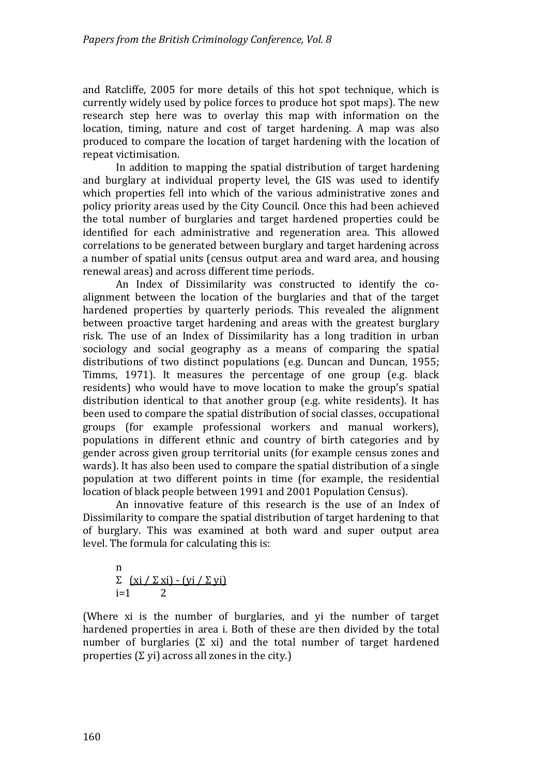and Ratcliffe, 2005 for more details of this hot spot technique, which is currently widely used by police forces to produce hot spot maps). The new research step here was to overlay this map with information on the location, timing, nature and cost of target hardening. A map was also produced to compare the location of target hardening with the location of repeat victimisation.

In addition to mapping the spatial distribution of target hardening and burglary at individual property level, the GIS was used to identify which properties fell into which of the various administrative zones and policy priority areas used by the City Council. Once this had been achieved the total number of burglaries and target hardened properties could be identified for each administrative and regeneration area. This allowed correlations to be generated between burglary and target hardening across a number of spatial units (census output area and ward area, and housing renewal areas) and across different time periods.

An Index of Dissimilarity was constructed to identify the coalignment between the location of the burglaries and that of the target hardened properties by quarterly periods. This revealed the alignment between proactive target hardening and areas with the greatest burglary risk. The use of an Index of Dissimilarity has a long tradition in urban sociology and social geography as a means of comparing the spatial distributions of two distinct populations (e.g. Duncan and Duncan, 1955; Timms, 1971). It measures the percentage of one group (e.g. black residents) who would have to move location to make the group's spatial distribution identical to that another group (e.g. white residents). It has been used to compare the spatial distribution of social classes, occupational groups (for example professional workers and manual workers), populations in different ethnic and country of birth categories and by gender across given group territorial units (for example census zones and wards). It has also been used to compare the spatial distribution of a single population at two different points in time (for example, the residential location of black people between 1991 and 2001 Population Census).

An innovative feature of this research is the use of an Index of Dissimilarity to compare the spatial distribution of target hardening to that of burglary. This was examined at both ward and super output area level. The formula for calculating this is:

n  

$$
\sum_{i=1}^{n} \frac{(xi / \sum xi) - (yi / \sum yi)}{2}
$$

(Where xi is the number of burglaries, and yi the number of target hardened properties in area i. Both of these are then divided by the total number of burglaries  $(\Sigma \times x)$  and the total number of target hardened properties  $(\Sigma$  yi) across all zones in the city.)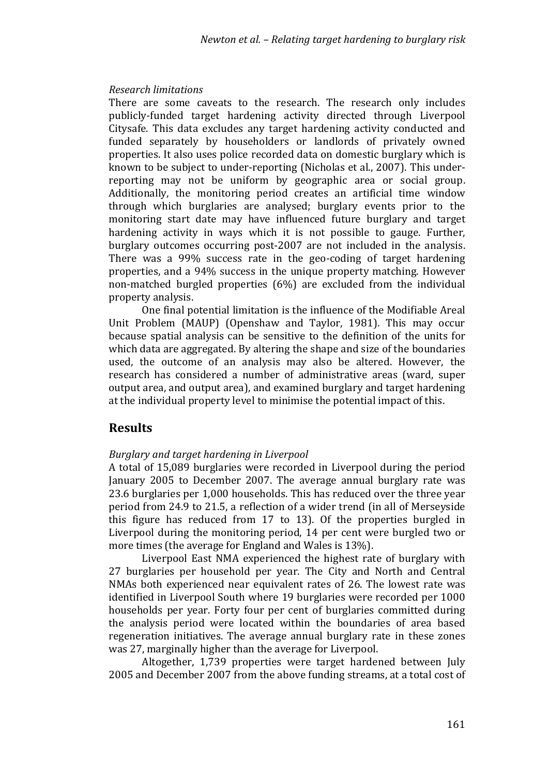#### *Research limitations*

There are some caveats to the research. The research only includes publicly‐funded target hardening activity directed through Liverpool Citysafe. This data excludes any target hardening activity conducted and funded separately by householders or landlords of privately owned properties. It also uses police recorded data on domestic burglary which is known to be subject to under-reporting (Nicholas et al., 2007). This underreporting may not be uniform by geographic area or social group. Additionally, the monitoring period creates an artificial time window through which burglaries are analysed; burglary events prior to the monitoring start date may have influenced future burglary and target hardening activity in ways which it is not possible to gauge. Further, burglary outcomes occurring post‐2007 are not included in the analysis. There was a 99% success rate in the geo-coding of target hardening properties, and a 94% success in the unique property matching. However non‐matched burgled properties (6%) are excluded from the individual property analysis.

One final potential limitation is the influence of the Modifiable Areal Unit Problem (MAUP) (Openshaw and Taylor, 1981). This may occur because spatial analysis can be sensitive to the definition of the units for which data are aggregated. By altering the shape and size of the boundaries used, the outcome of an analysis may also be altered. However, the research has considered a number of administrative areas (ward, super output area, and output area), and examined burglary and target hardening at the individual property level to minimise the potential impact of this.

## **Results**

#### *Burglary and target hardening in Liverpool*

A total of 15,089 burglaries were recorded in Liverpool during the period January 2005 to December 2007. The average annual burglary rate was 23.6 burglaries per 1,000 households. This has reduced over the three year period from 24.9 to 21.5, a reflection of a wider trend (in all of Merseyside this figure has reduced from 17 to 13). Of the properties burgled in Liverpool during the monitoring period, 14 per cent were burgled two or more times (the average for England and Wales is 13%).

Liverpool East NMA experienced the highest rate of burglary with 27 burglaries per household per year. The City and North and Central NMAs both experienced near equivalent rates of 26. The lowest rate was identified in Liverpool South where 19 burglaries were recorded per 1000 households per vear. Forty four per cent of burglaries committed during the analysis period were located within the boundaries of area based regeneration initiatives. The average annual burglary rate in these zones was 27, marginally higher than the average for Liverpool.

Altogether, 1,739 properties were target hardened between July 2005 and December 2007 from the above funding streams, at a total cost of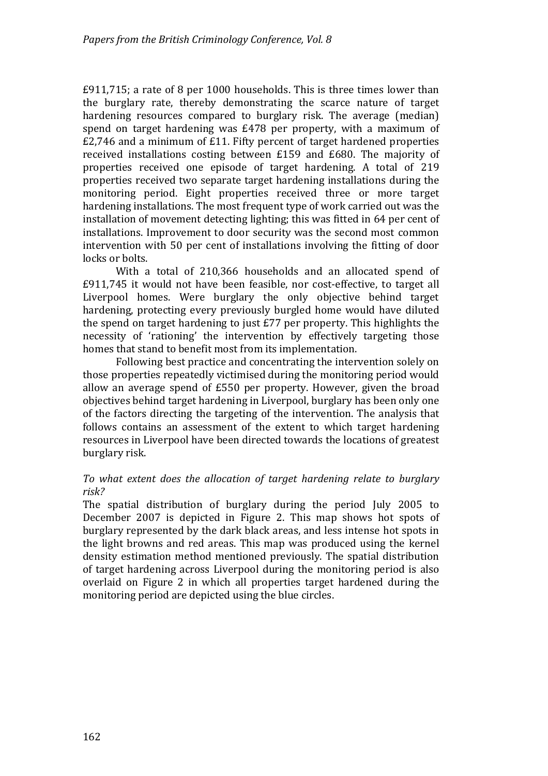£911,715; a rate of 8 per 1000 households. This is three times lower than the burglary rate, thereby demonstrating the scarce nature of target hardening resources compared to burglary risk. The average (median) spend on target hardening was £478 per property, with a maximum of £2,746 and a minimum of £11. Fifty percent of target hardened properties received installations costing between £159 and £680. The majority of properties received one episode of target hardening. A total of 219 properties received two separate target hardening installations during the monitoring period. Eight properties received three or more target hardening installations. The most frequent type of work carried out was the installation of movement detecting lighting; this was fitted in 64 per cent of installations. Improvement to door security was the second most common intervention with 50 per cent of installations involving the fitting of door locks or bolts.

With a total of 210,366 households and an allocated spend of £911,745 it would not have been feasible, nor cost‐effective, to target all Liverpool homes. Were burglary the only objective behind target hardening, protecting every previously burgled home would have diluted the spend on target hardening to just £77 per property. This highlights the necessity of 'rationing' the intervention by effectively targeting those homes that stand to benefit most from its implementation.

Following best practice and concentrating the intervention solely on those properties repeatedly victimised during the monitoring period would allow an average spend of £550 per property. However, given the broad objectives behind target hardening in Liverpool, burglary has been only one of the factors directing the targeting of the intervention. The analysis that follows contains an assessment of the extent to which target hardening resources in Liverpool have been directed towards the locations of greatest burglary risk.

#### *To what extent does the allo ation of t rget hardening relate to burglary c a risk?*

The spatial distribution of burglary during the period July 2005 to December 2007 is depicted in Figure 2. This map shows hot spots of burglary represented by the dark black areas, and less intense hot spots in the light browns and red areas. This map was produced using the kernel density estimation method mentioned previously. The spatial distribution of target hardening across Liverpool during the monitoring period is also overlaid on Figure 2 in which all properties target hardened during the monitoring period are depicted using the blue circles.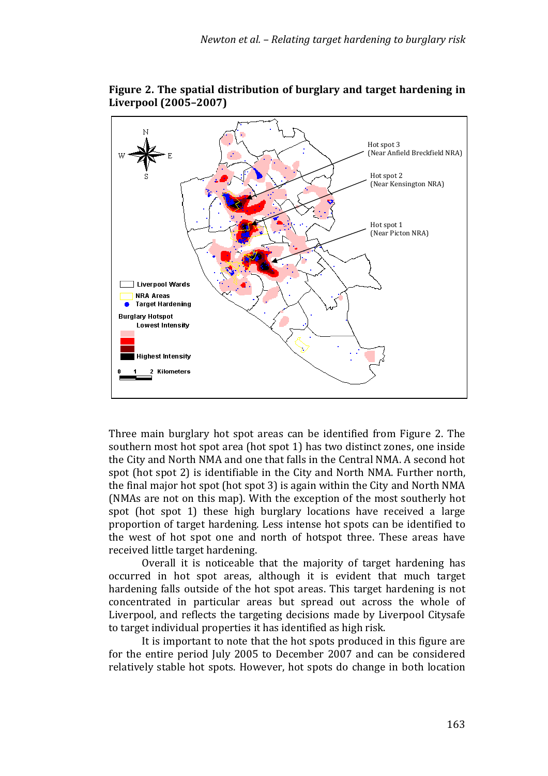

**Figure 2. The spatial distribution of burglary and target hardening in Liverpool (2005–2007)**

Three main burglary hot spot areas can be identified from Figure 2. The southern most hot spot area (hot spot 1) has two distinct zones, one inside the City and North NMA and one that falls in the Central NMA. A second hot spot (hot spot 2) is identifiable in the City and North NMA. Further north, the final major hot spot (hot spot 3) is again within the City and North NMA (NMAs are not on this map). With the exception of the most southerly hot spot (hot spot 1) these high burglary locations have received a large proportion of target hardening. Less intense hot spots can be identified to the west of hot spot one and north of hotspot three. These areas have received little target hardening.

Overall it is noticeable that the majority of target hardening has occurred in hot spot areas, although it is evident that much target hardening falls outside of the hot spot areas. This target hardening is not concentrated in particular areas but spread out across the whole of Liverpool, and reflects the targeting decisions made by Liverpool Citysafe to target individual properties it has identified as high risk.

It is important to note that the hot spots produced in this figure are for the entire period July 2005 to December 2007 and can be considered relatively stable hot spots. However, hot spots do change in both location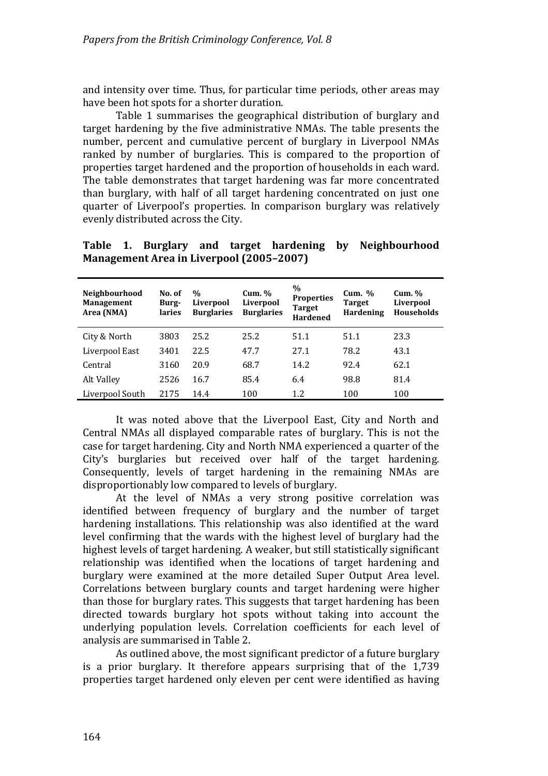and intensity over time. Thus, for particular time periods, other areas may have been hot spots for a shorter duration.

Table 1 summarises the geographical distribution of burglary and target hardening by the five administrative NMAs. The table presents the number, percent and cumulative percent of burglary in Liverpool NMAs ranked by number of burglaries. This is compared to the proportion of properties target hardened and the proportion of households in each ward. The table demonstrates that target hardening was far more concentrated than burglary, with half of all target hardening concentrated on just one quarter of Liverpool's properties. In comparison burglary was relatively evenly distributed across the City.

**T able 1. Burglary and target hardening by Neighbourhood M anagement Area in Liverpool (2005–2007)**

| <b>Neighbourhood</b><br><b>Management</b><br>Area (NMA) | No. of<br>Burg-<br>laries | $\frac{0}{0}$<br>Liverpool<br><b>Burglaries</b> | Cum. %<br>Liverpool<br><b>Burglaries</b> | $\%$<br><b>Properties</b><br><b>Target</b><br><b>Hardened</b> | Cum. $%$<br><b>Target</b><br>Hardening | $Cum.$ %<br>Liverpool<br><b>Households</b> |
|---------------------------------------------------------|---------------------------|-------------------------------------------------|------------------------------------------|---------------------------------------------------------------|----------------------------------------|--------------------------------------------|
| City & North                                            | 3803                      | 25.2                                            | 25.2                                     | 51.1                                                          | 51.1                                   | 23.3                                       |
| Liverpool East                                          | 3401                      | 22.5                                            | 47.7                                     | 27.1                                                          | 78.2                                   | 43.1                                       |
| Central                                                 | 3160                      | 20.9                                            | 68.7                                     | 14.2                                                          | 92.4                                   | 62.1                                       |
| Alt Valley                                              | 2526                      | 16.7                                            | 85.4                                     | 6.4                                                           | 98.8                                   | 81.4                                       |
| Liverpool South                                         | 2175                      | 14.4                                            | 100                                      | 1.2                                                           | 100                                    | 100                                        |

It was noted above that the Liverpool East, City and North and Central NMAs all displayed comparable rates of burglary. This is not the case for target hardening. City and North NMA experienced a quarter of the City's burglaries but received over half of the target hardening. Consequently, levels of target hardening in the remaining NMAs are disproportionably low compared to levels of burglary.

At the level of NMAs a very strong positive correlation was identified between frequency of burglary and the number of target hardening installations. This relationship was also identified at the ward level confirming that the wards with the highest level of burglary had the highest levels of target hardening. A weaker, but still statistically significant relationship was identified when the locations of target hardening and burglary were examined at the more detailed Super Output Area level. Correlations between burglary counts and target hardening were higher than those for burglary rates. This suggests that target hardening has been directed towards burglary hot spots without taking into account the underly ing population levels. Correlation coefficients for each level of analysis are summarised in Table 2.

As outlined above, the most significant predictor of a future burglary is a prior burglary. It therefore appears surprising that of the 1,739 properties target hardened only eleven per cent were identified as having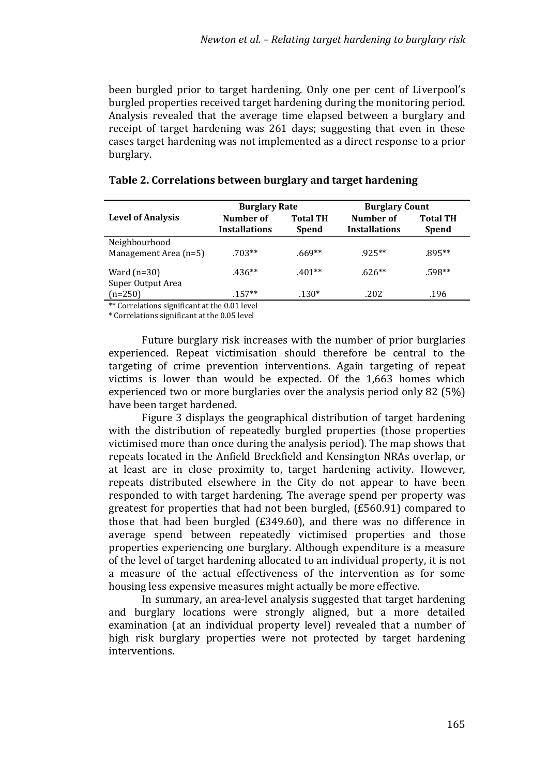been burgled prior to target hardening. Only one per cent of Liverpool's burgled properties received target hardening during the monitoring period. Analysis revealed that the average time elapsed between a burglary and receipt of target hardening was 261 days; suggesting that even in these ases target hardening was not implemented as a direct response to a prior c burglary.

|                                        | <b>Burglary Rate</b>              |                                 | <b>Burglary Count</b>             |                                 |  |
|----------------------------------------|-----------------------------------|---------------------------------|-----------------------------------|---------------------------------|--|
| <b>Level of Analysis</b>               | Number of<br><b>Installations</b> | <b>Total TH</b><br><b>Spend</b> | Number of<br><b>Installations</b> | <b>Total TH</b><br><b>Spend</b> |  |
| Neighbourhood<br>Management Area (n=5) | $.703**$                          | $.669**$                        | $925**$                           | .895**                          |  |
| Ward $(n=30)$                          | $.436**$                          | $.401**$                        | $.626**$                          | .598**                          |  |
| Super Output Area<br>$(n=250)$         | $.157**$                          | $.130*$                         | .202                              | .196                            |  |

#### **Table 2. Correlations between burglary and target hardening**

\*\* Correlations significant at the 0.01 level

\* Correlations significant at the 0.05 level

Future burglary risk increases with the number of prior burglaries experienced. Repeat victimisation should therefore be central to the targeting of crime prevention interventions. Again targeting of repeat victims is lower than would be expected. Of the 1,663 homes which experienced two or more burglaries over the analysis period only 82 (5%) have been target hardened.

Figure 3 displays the geographical distribution of target hardening with the distribution of repeatedly burgled properties (those properties victimised more than once during the analysis period). The map shows that repeats located in the Anfield Breckfield and Kensington NRAs overlap, or at least are in close proximity to, target hardening activity. However, repeats distributed elsewhere in the City do not appear to have been responded to with target hardening. The average spend per property was greatest for properties that had not been burgled, (£560.91) compared to those that had been burgled (£349.60), and there was no difference in average spend between repeatedly victimised properties and those properties experiencing one burglary. Although expenditure is a measure of the level of target hardening allocated to an individual property, it is not a measure of the actual effectiveness of the intervention as for some housing less expensive measures might actually be more effective.

In summary, an area‐level analysis suggested that target hardening and burglary locations were strongly aligned, but a more detailed examination (at an individual property level) revealed that a number of high risk burglary properties were not protected by target hardening interventions.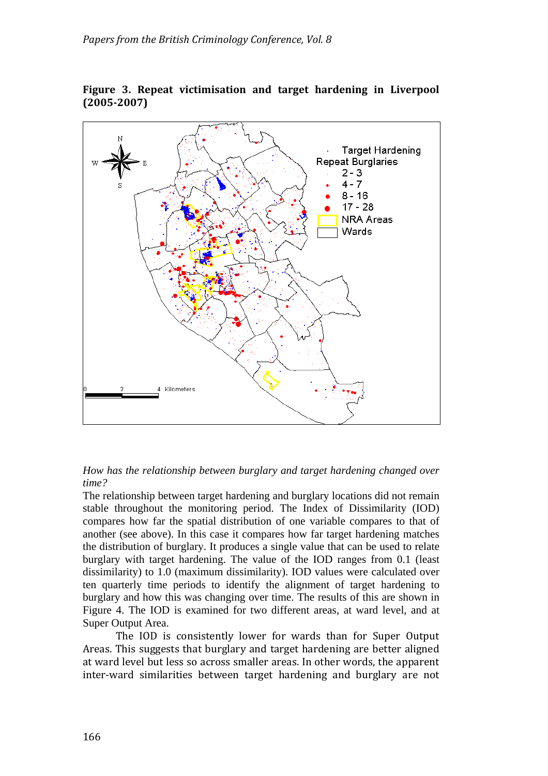

**F igure 3. Repeat victimisation and target hardening in Liverpool ( 20052007)**



The relationship between target hardening and burglary locations did not remain stable throughout the monitoring period. The Index of Dissimilarity (IOD) compares how far the spatial distribution of one variable compares to that of another (see above). In this case it compares how far target hardening matches the distribution of burglary. It produces a single value that can be used to relate burglary with target hardening. The value of the IOD ranges from 0.1 (least dissimilarity) to 1.0 (maximum dissimilarity). IOD values were calculated over ten quarterly time periods to identify the alignment of target hardening to burglary and how this was changing over time. The results of this are shown in Figure 4. The IOD is examined for two different areas, at ward level, and at Super Output Area.

The IOD is consistently lower for wards than for Super Output Areas. This suggests that burglary and target hardening are better aligned at ward level but less so across smaller areas. In other words, the apparent inter‐ward similarities between target hardening and burglary are not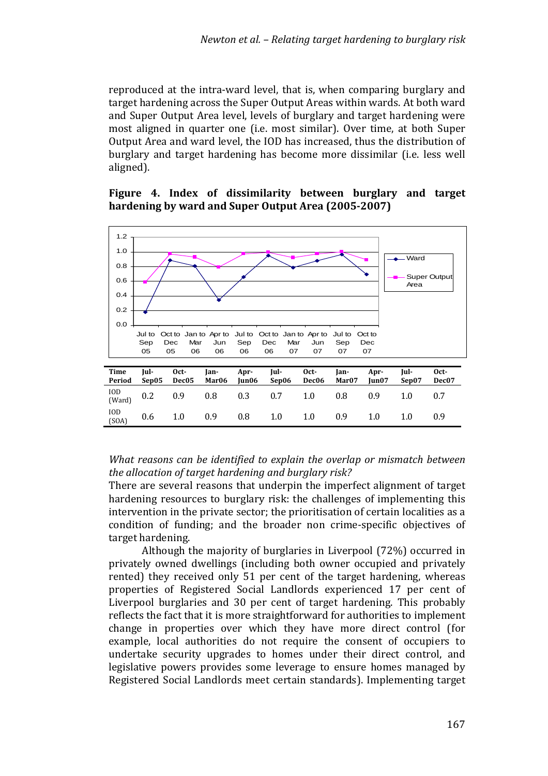reproduced at the intra-ward level, that is, when comparing burglary and target hardening across the Super Output Areas within wards. At both ward and Super Output Area level, levels of burglary and target hardening were most aligned in quarter one (i.e. most similar). Over time, at both Super Output Area and ward level, the IOD has increased, thus the distribution of burglary and target hardening has become more dissimilar (i.e. less well aligned).

#### **Figure 4. Index of dissimilarity between burglary and target hardening by ward and Super Output Area (20052007)**



#### *What reasons can be identified to explain the overlap or mismatch between the allocation of target hardening and burglary risk?*

There are several reasons that underpin the imperfect alignment of target hardening resources to burglary risk: the challenges of implementing this intervention in the private sector; the prioritisation of certain localities as a conditi on of funding; and the broader non crime‐specific objectives of target hardening.

Although the majority of burglaries in Liverpool (72%) occurred in privately owned dwellings (including both owner occupied and privately rented) they received only 51 per cent of the target hardening, whereas properties of Registered Social Landlords experienced 17 per cent of Liverpool burglaries and 30 per cent of target hardening. This probably reflects the fact that it is more straightforward for authorities to implement change in properties over which they have more direct control (for example, local authorities do not require the consent of occupiers to undertake security upgrades to homes under their direct control, and legislative powers provides some leverage to ensure homes managed by Registered Social Landlords meet certain standards). Implementing target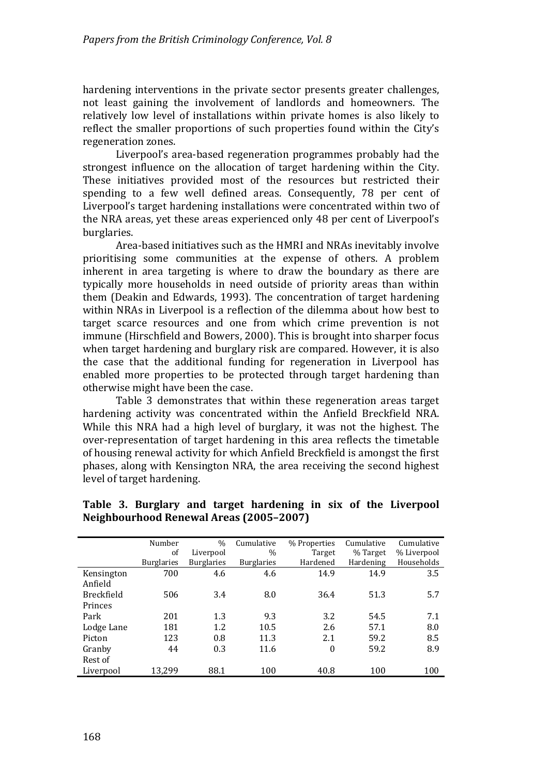hardening interventions in the private sector presents greater challenges, not least gaining the involvement of landlords and homeowners. The relatively low level of installations within private homes is also likely to reflect the smaller proportions of such properties found within the City's regeneration zones.

Liverpool's area‐based regeneration programmes probably had the strongest influence on the allocation of target hardening within the City. These initiatives provided most of the resources but restricted their spending to a few well defined areas. Consequently, 78 per cent of Liverpool's target hardening installations were concentrated within two of the NRA areas, yet these areas experienced only 48 per cent of Liverpool's burglaries.

Area‐based initiatives such as the HMRI and NRAs inevitably involve prioritising some communities at the expense of others. A problem inherent in area targeting is where to draw the boundary as there are typically more households in need outside of priority areas than within them (Deakin and Edwards, 1993). The concentration of target hardening within NRAs in Liverpool is a reflection of the dilemma about how best to target scarce resources and one from which crime prevention is not immune (Hirschfield and Bowers, 2000). This is brought into sharper focus when target hardening and burglary risk are compared. However, it is also the case that the additional funding for regeneration in Liverpool has enabled more properties to be protected through target hardening than otherwise might have been the case.

Table 3 demonstrates that within these regeneration areas target hardening activity was concentrated within the Anfield Breckfield NRA. While this NRA had a high level of burglary, it was not the highest. The over‐representation of target hardening in this area reflects the timetable of housing renewal activity for which Anfield Breckfield is amongst the first phases, along with Kensington NRA, the area receiving the second highest level of target hardening.

|            | Number            | $\%$              | Cumulative        | % Properties     | Cumulative | Cumulative  |
|------------|-------------------|-------------------|-------------------|------------------|------------|-------------|
|            | of                | Liverpool         | $\%$              | Target           | % Target   | % Liverpool |
|            | <b>Burglaries</b> | <b>Burglaries</b> | <b>Burglaries</b> | Hardened         | Hardening  | Households  |
| Kensington | 700               | 4.6               | 4.6               | 14.9             | 14.9       | 3.5         |
| Anfield    |                   |                   |                   |                  |            |             |
| Breckfield | 506               | 3.4               | 8.0               | 36.4             | 51.3       | 5.7         |
| Princes    |                   |                   |                   |                  |            |             |
| Park       | 201               | 1.3               | 9.3               | 3.2              | 54.5       | 7.1         |
| Lodge Lane | 181               | 1.2               | 10.5              | 2.6              | 57.1       | 8.0         |
| Picton     | 123               | 0.8               | 11.3              | 2.1              | 59.2       | 8.5         |
| Granby     | 44                | 0.3               | 11.6              | $\boldsymbol{0}$ | 59.2       | 8.9         |
| Rest of    |                   |                   |                   |                  |            |             |
| Liverpool  | 13,299            | 88.1              | 100               | 40.8             | 100        | 100         |

#### **T able 3. Burglary and target hardening in six of the Liverpool N eighbourhood Renewal Areas (2005–2007)**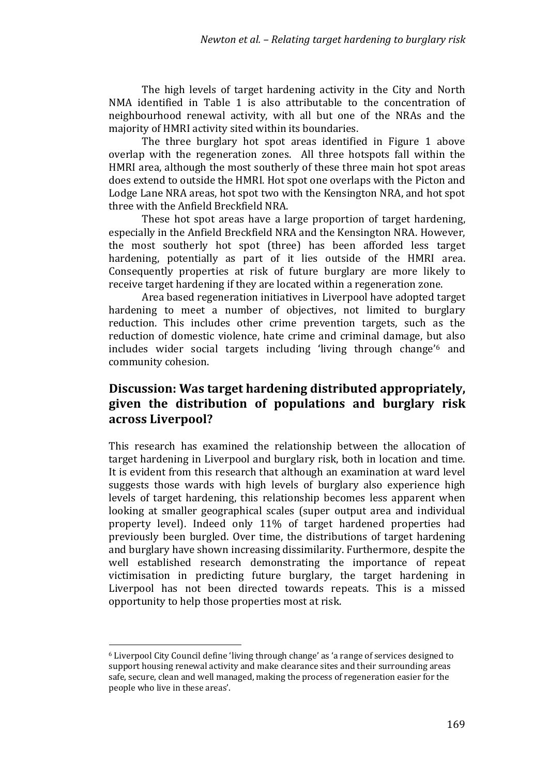The high levels of target hardening activity in the City and North NMA identified in Table 1 is also attributable to the concentration of neighbourhood renewal activity, with all but one of the NRAs and the majority of HMRI activity sited within its boundaries.

The three burglary hot spot areas identified in Figure 1 above overlap with the regeneration zones. All three hotspots fall within the HMRI area, although the most southerly of these three main hot spot areas does extend to outside the HMRI. Hot spot one overlaps with the Picton and Lodge Lane NRA areas, hot spot two with the Kensington NRA, and hot spot three with the Anfield Breckfield NRA.

These hot spot areas have a large proportion of target hardening, especially in the Anfield Breckfield NRA and the Kensington NRA. However, the most southerly hot spot (three) has been afforded less target hardening, potentially as part of it lies outside of the HMRI area. Consequently properties at risk of future burglary are more likely to receive target hardening if they are located within a regeneration zone.

Area based regeneration initiatives in Liverpool have adopted target hardening to meet a number of objectives, not limited to burglary reduction. This includes other crime prevention targets, such as the reduction of domestic violence, hate crime and criminal damage, but also includes wider social targets including 'living through change'6 and community cohesion.

# **Discussion: Was target hardening distributed appropriately, given the distribution of populations and burglary risk across Liverpool?**

This research has examined the relationship between the allocation of target hardening in Liverpool and burglary risk, both in location and time. It is evident from this research that although an examination at ward level suggests those wards with high levels of burglary also experience high levels of target hardening, this relationship becomes less apparent when looking at smaller geographical scales (super output area and individual property level). Indeed only 11% of target hardened properties had previously been burgled. Over time, the distributions of target hardening and burglary have shown increasing dissimilarity. Furthermore, despite the well established research demonstrating the importance of repeat victimisation in predicting future burglary, the target hardening in Liverpool has not been directed towards repeats. This is a missed opportunity to help those properties most at risk.

 $\overline{a}$ 

<sup>6</sup> Liverpool City Council define 'living through change' as 'a range of services designed to support housing renewal activity and make clearance sites and their surrounding areas safe, secure, clean and well managed, making the process of regeneration easier for the people who live in these areas'.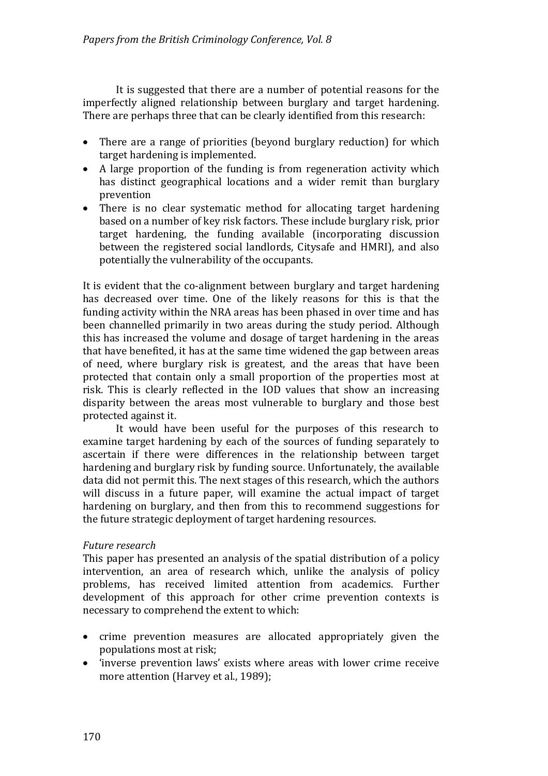It is suggested that there are a number of potential reasons for the imperfectly aligned relationship between burglary and target hardening. There are perhaps three that can be clearly identified from this research:

- There are a range of priorities (beyond burglary reduction) for which target hardening is implemented.
- A large proportion of the funding is from regeneration activity which has distinct geographical locations and a wider remit than burglary prevention
- There is no clear systematic method for allocating target hardening based on a number of key risk factors. These include burglary risk, prior target hardening, the funding available (incorporating discussion between the registered social landlords, Citysafe and HMRI), and also potentially the vulnerability of the occupants.

It is evident that the co-alignment between burglary and target hardening has decreased over time. One of the likely reasons for this is that the funding activity within the NRA areas has been phased in over time and has been channelled primarily in two areas during the study period. Although this has increased the volume and dosage of target hardening in the areas that have benefited, it has at the same time widened the gap between areas of need, where burglary risk is greatest, and the areas that have been protected that contain only a small proportion of the properties most at risk. This is clearly reflected in the IOD values that show an increasing disparity between the areas most vulnerable to burglary and those best protected against it.

It would have been useful for the purposes of this research to examine target hardening by each of the sources of funding separately to ascertain if there were differences in the relationship between target hardening and burglary risk by funding source. Unfortunately, the available data did not permit this. The next stages of this research, which the authors will discuss in a future paper, will examine the actual impact of target hardening on burglary, and then from this to recommend suggestions for the future strategic deployment of target hardening resources.

#### *Future research*

This paper has presented an analysis of the spatial distribution of a policy intervention, an area of research which, unlike the analysis of policy problems, has received limited attention from academics. Further development of this approach for other crime prevention contexts is necessary to comprehend the extent to which:

- crime prevention measures are allocated appropriately given the populations most at risk;
- 'inverse prevention laws' exists where areas with lower crime receive more attention (Harvey et al., 1989);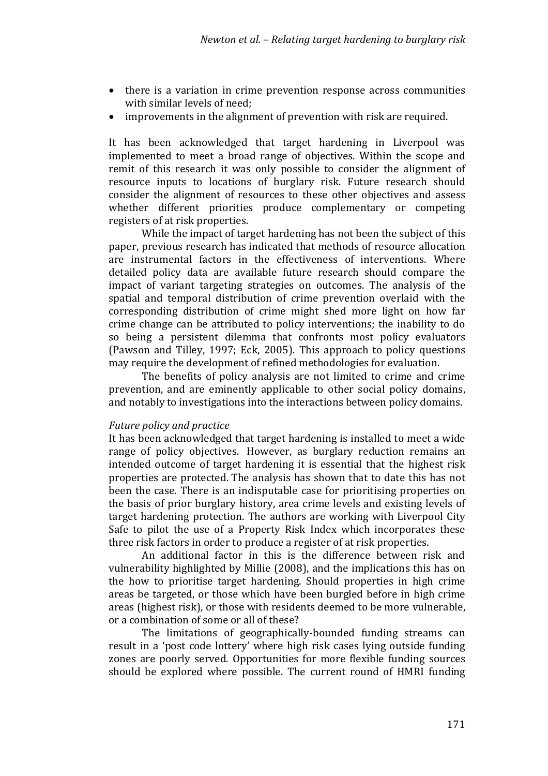- there is a variation in crime prevention response across communities with similar levels of need;
- improvements in the alignment of prevention with risk are required.

It has been acknowledged that target hardening in Liverpool was implemented to meet a broad range of objectives. Within the scope and remit of this research it was only possible to consider the alignment of resource inputs to locations of burglary risk. Future research should consider the alignment of resources to these other objectives and assess whether different priorities produce complementary or competing registers of at risk properties.

While the impact of target hardening has not been the subject of this paper, previous research has indicated that methods of resource allocation are instrumental factors in the effectiveness of interventions. Where detailed policy data are available future research should compare the impact of variant targeting strategies on outcomes. The analysis of the spatial and temporal distribution of crime prevention overlaid with the corresponding distribution of crime might shed more light on how far crime change can be attributed to policy interventions; the inability to do so being a persistent dilemma that confronts most policy evaluators (Pawson and Tilley, 1997; Eck, 2005). This approach to policy questions may require the development of refined methodologies for evaluation.

The benefits of policy analysis are not limited to crime and crime prevention, and are eminently applicable to other social policy domains, and notably to investigations into the interactions between policy domains.

#### *Future policy and practice*

It has been acknowledged that target hardening is installed to meet a wide range of policy objectives. However, as burglary reduction remains an intended outcome of target hardening it is essential that the highest risk properties are protected. The analysis has shown that to date this has not been the case. There is an indisputable case for prioritising properties on the basis of prior burglary history, area crime levels and existing levels of target hardening protection. The authors are working with Liverpool City Safe to pilot the use of a Property Risk Index which incorporates these three risk factors in order to produce a register of at risk properties.

An additional factor in this is the difference between risk and vulnerability highlighted by Millie (2008), and the implications this has on the how to prioritise target hardening. Should properties in high crime areas be targeted, or those which have been burgled before in high crime areas (highest risk), or those with residents deemed to be more vulnerable, or a combination of some or all of these?

The limitations of geographically-bounded funding streams can result in a 'post code lottery' where high risk cases lying outside funding zones are poorly served. Opportunities for more flexible funding sources should be explored where possible. The current round of HMRI funding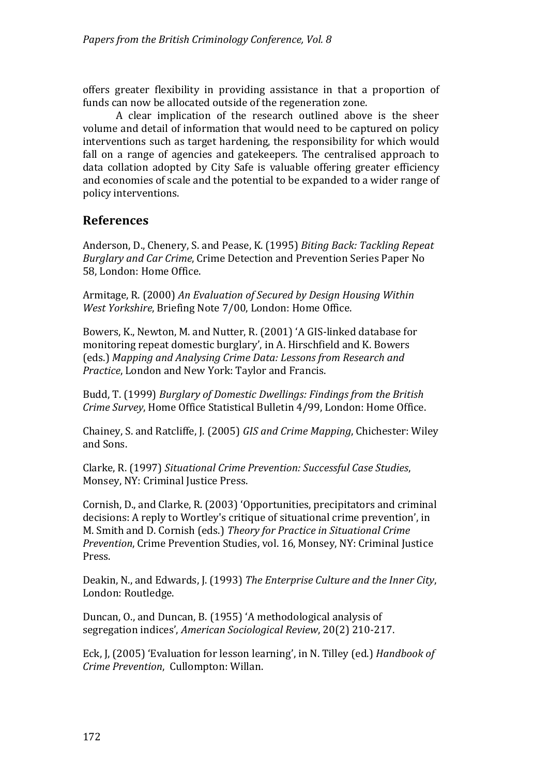offers greater flexibility in providing assistance in that a proportion of funds can now be allocated outside of the regeneration zone.

A clear implication of the research outlined above is the sheer volume and detail of information that would need to be captured on policy interventions such as target hardening, the responsibility for which would fall on a range of agencies and gatekeepers. The centralised approach to data collation adopted by City Safe is valuable offering greater efficiency and economies of scale and the potential to be expanded to a wider range of policy interventions.

## **References**

Anderson, D., Chenery, S. and Pease, K. (1995) *Biting Back: Tackling Repeat* Burglary and Car Crime, Crime Detection and Prevention Series Paper No 58, London: Home Office.

Armitage, R. (2000) *An Evaluation of Secured by Design Housing Within West Yorkshire*, Briefing Note 7/00, London: Home Office.

Bowers, K., Newton, M. and Nutter, R. (2001) 'A GIS‐linked database for monitoring repeat domestic burglary', in A. Hirschfield and K. Bowers eds.) *Mapping and Analysing Crime Data: Lessons from Research and* ( Practice, London and New York: Taylor and Francis.

udd, T. (1999) *Burglary of Domestic Dwellings: Findings from the British* B Crime Survey, Home Office Statistical Bulletin 4/99, London: Home Office.

Chainey, S. and Ratcliffe, J. (2005) *GIS and Crime Mapping*, Chichester: Wiley and Sons.

Clarke, R. (1997) *Situational Crime Prevention: Successful Case Studies*, Monsey, NY: Criminal Justice Press.

Cornish, D., and Clarke, R. (2003) 'Opportunities, precipitators and criminal decisions: A reply to Wortley's critique of situational crime prevention', in M. Smith and D. Cornish (eds.) *Theory for Practice in Situational Crime Prevention*, Crime Prevention Studies, vol. 16, Monsey, NY: Criminal Justice Press.

Deakin, N., and Edwards, J. (1993) *The Enterprise Culture and the Inner City*, London: Routledge.

Duncan, O., and Duncan, B. (1955) 'A methodological analysis of 17. segregation indices', *American Sociological Review*, 20(2) 210‐2

Eck, J, (2005) 'Evaluation for lesson learning', in N. Tilley (ed.) *Handbook of rime Prevention*, Cullompton: Willan. *C*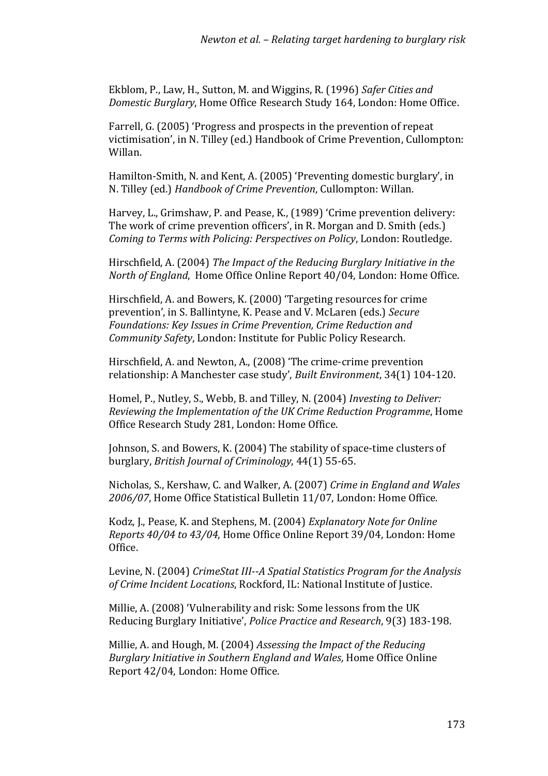Ekblom, P., Law, H., Sutton, M. and Wiggins, R. (1996) *Safer Cities and Domestic Burglary*, Home Office Research Study 164, London: Home Office.

Farrell, G. (2005) 'Progress and prospects in the prevention of repeat victimisation', in N. Tilley (ed.) Handbook of Crime Prevention, Cullompton: Willan.

Hamilton‐Smith, N. and Kent, A. (2005) 'Preventing domestic burglary', in N. Tilley (ed.) *Handbook of Crime Prevention*, Cullompton: Willan.

Harvey, L., Grimshaw, P. and Pease, K., (1989) 'Crime prevention delivery: The work of crime prevention officers', in R. Morgan and D. Smith (eds.) Coming to Terms with Policing: Perspectives on Policy, London: Routledge.

irschfield, A. (2004) *The Impact of the Reducing Burglary Initiative in the* H North of England, Home Office Online Report 40/04, London: Home Office.

Hirschfield, A. and Bowers, K. (2000) 'Targeting resources for crime prevention', in S. Ballintyne, K. Pease and V. McLaren (eds.) *Secure Foundations: Key Issues in Crime Prevention, Crime Reduction and Community Safety*, London: Institute for Public Policy Research.

Hirschfield, A. and Newton, A., (2008) 'The crime-crime prevention relationship: A Manchester case study', *Built Environment*, 34(1) 104-120.

Homel, P., Nutley, S., Webb, B. and Tilley, N. (2004) *Investing to Deliver: Reviewing the Implementation of the UK Crime Reduction Programme*, Home Office Research Study 281, London: Home Office.

Johnson, S. and Bowers, K. (2004) The stability of space-time clusters of 5‐65. burglary, *British Journal of Criminology*, 44(1) 5

icholas, S., Kershaw, C. and Walker, A. (2007) *Crime in England and Wales* N 2006/07, Home Office Statistical Bulletin 11/07, London: Home Office.

Kodz, J., Pease, K. and Stephens, M. (2004) *Explanatory Note for Online Reports 40/04 to 43/04*, Home Office Online Report 39/04, London: Home Office.

Levine, N. (2004) *CrimeStat III--A Spatial Statistics Program for the Analysis* of Crime Incident Locations, Rockford, IL: National Institute of Justice.

Millie, A. (2008) 'Vulnerability and risk: Some lessons from the UK Reducing Burglary Initiative', *Police Practice and Research*, 9(3) 183-198.

Millie, A. and Hough, M. (2004) *Assessing the Impact of the Reducing* Burglary Initiative in Southern England and Wales, Home Office Online Report 42/04, London: Home Office.